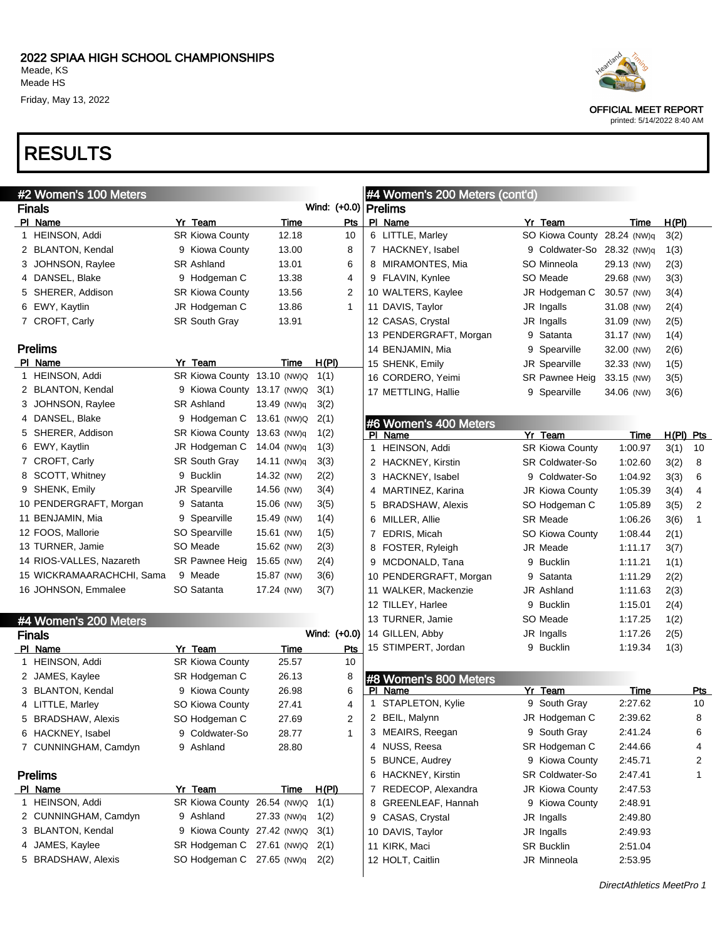| #2 Women's 100 Meters     |                             |             |              |              |                | #4 Women's 200 Meters (cont'd) |                             |            |             |              |
|---------------------------|-----------------------------|-------------|--------------|--------------|----------------|--------------------------------|-----------------------------|------------|-------------|--------------|
| <b>Finals</b>             |                             |             | Wind: (+0.0) |              |                | <b>Prelims</b>                 |                             |            |             |              |
| PI Name                   | Yr Team                     | Time        |              | <b>Pts</b>   |                | PI Name                        | Yr Team                     | Time       | H(PI)       |              |
| 1 HEINSON, Addi           | <b>SR Kiowa County</b>      | 12.18       |              | 10           |                | 6 LITTLE, Marley               | SO Kiowa County 28.24 (NW)q |            | 3(2)        |              |
| 2 BLANTON, Kendal         | 9 Kiowa County              | 13.00       |              | 8            |                | 7 HACKNEY, Isabel              | 9 Coldwater-So 28.32 (NW)q  |            | 1(3)        |              |
| 3 JOHNSON, Raylee         | <b>SR Ashland</b>           | 13.01       |              | 6            |                | 8 MIRAMONTES, Mia              | SO Minneola                 | 29.13 (NW) | 2(3)        |              |
| 4 DANSEL, Blake           | 9 Hodgeman C                | 13.38       |              | 4            |                | 9 FLAVIN, Kynlee               | SO Meade                    | 29.68 (NW) | 3(3)        |              |
| 5 SHERER, Addison         | <b>SR Kiowa County</b>      | 13.56       |              | 2            |                | 10 WALTERS, Kaylee             | JR Hodgeman C               | 30.57 (NW) | 3(4)        |              |
| 6 EWY, Kaytlin            | JR Hodgeman C               | 13.86       |              | $\mathbf{1}$ |                | 11 DAVIS, Taylor               | JR Ingalls                  | 31.08 (NW) | 2(4)        |              |
| 7 CROFT, Carly            | SR South Gray               | 13.91       |              |              |                | 12 CASAS, Crystal              | JR Ingalls                  | 31.09 (NW) | 2(5)        |              |
|                           |                             |             |              |              |                | 13 PENDERGRAFT, Morgan         | 9 Satanta                   | 31.17 (NW) | 1(4)        |              |
| <b>Prelims</b>            |                             |             |              |              |                | 14 BENJAMIN, Mia               | 9 Spearville                | 32.00 (NW) | 2(6)        |              |
| PI Name                   | Yr Team                     | Time        | H(PI)        |              |                | 15 SHENK, Emily                | <b>JR Spearville</b>        | 32.33 (NW) | 1(5)        |              |
| 1 HEINSON, Addi           | SR Kiowa County 13.10 (NW)Q |             | 1(1)         |              |                | 16 CORDERO, Yeimi              | SR Pawnee Heig              | 33.15 (NW) | 3(5)        |              |
| 2 BLANTON, Kendal         | 9 Kiowa County 13.17 (NW)Q  |             | 3(1)         |              |                | 17 METTLING, Hallie            | 9 Spearville                | 34.06 (NW) | 3(6)        |              |
| 3 JOHNSON, Raylee         | <b>SR Ashland</b>           | 13.49 (NW)q | 3(2)         |              |                |                                |                             |            |             |              |
| 4 DANSEL, Blake           | 9 Hodgeman C                | 13.61 (NW)Q | 2(1)         |              |                | #6 Women's 400 Meters          |                             |            |             |              |
| 5 SHERER, Addison         | SR Kiowa County 13.63 (NW)q |             | 1(2)         |              |                | PI Name                        | Yr Team                     | Time       | $H(PI)$ Pts |              |
| 6 EWY, Kaytlin            | JR Hodgeman C               | 14.04 (NW)q | 1(3)         |              |                | 1 HEINSON, Addi                | <b>SR Kiowa County</b>      | 1:00.97    | 3(1)        | 10           |
| 7 CROFT, Carly            | <b>SR South Gray</b>        | 14.11 (NW)q | 3(3)         |              |                | 2 HACKNEY, Kirstin             | <b>SR Coldwater-So</b>      | 1:02.60    | 3(2)        | 8            |
| 8 SCOTT, Whitney          | 9 Bucklin                   | 14.32 (NW)  | 2(2)         |              |                | 3 HACKNEY, Isabel              | 9 Coldwater-So              | 1:04.92    | 3(3)        | 6            |
| 9 SHENK, Emily            | JR Spearville               | 14.56 (NW)  | 3(4)         |              |                | 4 MARTINEZ, Karina             | JR Kiowa County             | 1:05.39    | 3(4)        | 4            |
| 10 PENDERGRAFT, Morgan    | 9 Satanta                   | 15.06 (NW)  | 3(5)         |              | 5              | <b>BRADSHAW, Alexis</b>        | SO Hodgeman C               | 1:05.89    | 3(5)        | 2            |
| 11 BENJAMIN, Mia          | 9 Spearville                | 15.49 (NW)  | 1(4)         |              |                | 6 MILLER, Allie                | <b>SR Meade</b>             | 1:06.26    | 3(6)        | $\mathbf{1}$ |
| 12 FOOS, Mallorie         | SO Spearville               | 15.61 (NW)  | 1(5)         |              | $\overline{7}$ | EDRIS, Micah                   | SO Kiowa County             | 1:08.44    | 2(1)        |              |
| 13 TURNER, Jamie          | SO Meade                    | 15.62 (NW)  | 2(3)         |              |                | 8 FOSTER, Ryleigh              | JR Meade                    | 1:11.17    | 3(7)        |              |
| 14 RIOS-VALLES, Nazareth  | SR Pawnee Heig              | 15.65 (NW)  | 2(4)         |              |                | 9 MCDONALD, Tana               | 9 Bucklin                   | 1:11.21    | 1(1)        |              |
| 15 WICKRAMAARACHCHI, Sama | 9 Meade                     | 15.87 (NW)  | 3(6)         |              |                | 10 PENDERGRAFT, Morgan         | 9 Satanta                   | 1:11.29    | 2(2)        |              |
| 16 JOHNSON, Emmalee       | SO Satanta                  | 17.24 (NW)  | 3(7)         |              |                | 11 WALKER, Mackenzie           | <b>JR Ashland</b>           | 1:11.63    | 2(3)        |              |
|                           |                             |             |              |              |                | 12 TILLEY, Harlee              | 9 Bucklin                   | 1:15.01    | 2(4)        |              |
| #4 Women's 200 Meters     |                             |             |              |              |                | 13 TURNER, Jamie               | SO Meade                    | 1:17.25    | 1(2)        |              |
| <b>Finals</b>             |                             |             | Wind: (+0.0) |              |                | 14 GILLEN, Abby                | JR Ingalls                  | 1:17.26    | 2(5)        |              |
| PI Name                   | Yr Team                     | Time        |              | Pts          |                | 15 STIMPERT, Jordan            | 9 Bucklin                   | 1:19.34    | 1(3)        |              |
| 1 HEINSON, Addi           | <b>SR Kiowa County</b>      | 25.57       |              | 10           |                |                                |                             |            |             |              |
| 2 JAMES, Kaylee           | SR Hodgeman C               | 26.13       |              | 8            |                | #8 Women's 800 Meters          |                             |            |             |              |
| 3 BLANTON, Kendal         | 9 Kiowa County              | 26.98       |              | 6            |                | PI Name                        | Yr Team                     | Time       |             | Pts          |
| 4 LITTLE, Marley          | SO Kiowa County             | 27.41       |              | 4            |                | 1 STAPLETON, Kylie             | 9 South Gray                | 2:27.62    |             | 10           |
| 5 BRADSHAW, Alexis        | SO Hodgeman C               | 27.69       |              | 2            |                | 2 BEIL, Malynn                 | JR Hodgeman C               | 2:39.62    |             | 8            |
| 6 HACKNEY, Isabel         | 9 Coldwater-So              | 28.77       |              | $\mathbf{1}$ |                | 3 MEAIRS, Reegan               | 9 South Gray                | 2:41.24    |             | 6            |
| 7 CUNNINGHAM, Camdyn      | 9 Ashland                   | 28.80       |              |              |                | 4 NUSS, Reesa                  | SR Hodgeman C               | 2:44.66    |             | 4            |
|                           |                             |             |              |              |                | 5 BUNCE, Audrey                | 9 Kiowa County              | 2:45.71    |             | 2            |
| <b>Prelims</b>            |                             |             |              |              |                | 6 HACKNEY, Kirstin             | SR Coldwater-So             | 2:47.41    |             | 1            |
| PI Name                   | Yr Team                     | Time        | H(PI)        |              |                | 7 REDECOP, Alexandra           | JR Kiowa County             | 2:47.53    |             |              |
| 1 HEINSON, Addi           | SR Kiowa County 26.54 (NW)Q |             | 1(1)         |              |                | 8 GREENLEAF, Hannah            | 9 Kiowa County              | 2:48.91    |             |              |
| 2 CUNNINGHAM, Camdyn      | 9 Ashland                   | 27.33 (NW)q | 1(2)         |              |                | 9 CASAS, Crystal               | JR Ingalls                  | 2:49.80    |             |              |
| 3 BLANTON, Kendal         | 9 Kiowa County 27.42 (NW)Q  |             | 3(1)         |              |                | 10 DAVIS, Taylor               | JR Ingalls                  | 2:49.93    |             |              |
| 4 JAMES, Kaylee           | SR Hodgeman C 27.61 (NW)Q   |             | 2(1)         |              |                | 11 KIRK, Maci                  | <b>SR Bucklin</b>           | 2:51.04    |             |              |
| 5 BRADSHAW, Alexis        | SO Hodgeman C 27.65 (NW)q   |             | 2(2)         |              |                | 12 HOLT, Caitlin               | JR Minneola                 | 2:53.95    |             |              |
|                           |                             |             |              |              |                |                                |                             |            |             |              |



OFFICIAL MEET REPORT printed: 5/14/2022 8:40 AM

DirectAthletics MeetPro 1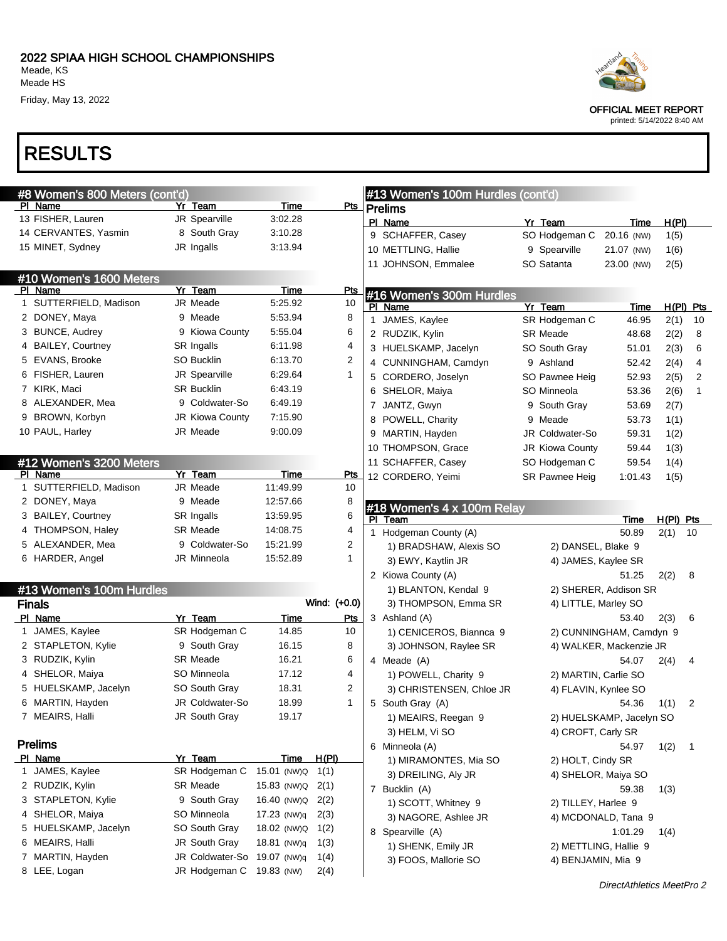| #8 Women's 800 Meters (cont'd) |                             |                  |              | #13 Women's 100m Hurdles (cont'd) |                      |                          |             |              |
|--------------------------------|-----------------------------|------------------|--------------|-----------------------------------|----------------------|--------------------------|-------------|--------------|
| PI Name                        | Yr Team                     | Time             | Pts          | <b>Prelims</b>                    |                      |                          |             |              |
| 13 FISHER, Lauren              | JR Spearville               | 3:02.28          |              | PI Name                           | Yr Team              | Time                     | H(PI)       |              |
| 14 CERVANTES, Yasmin           | 8 South Gray                | 3:10.28          |              | 9 SCHAFFER, Casey                 | SO Hodgeman C        | 20.16 (NW)               | 1(5)        |              |
| 15 MINET, Sydney               | JR Ingalls                  | 3:13.94          |              | 10 METTLING, Hallie               | 9 Spearville         | 21.07 (NW)               | 1(6)        |              |
|                                |                             |                  |              | 11 JOHNSON, Emmalee               | SO Satanta           | 23.00 (NW)               | 2(5)        |              |
| #10 Women's 1600 Meters        |                             |                  |              |                                   |                      |                          |             |              |
| PI Name                        | Yr Team                     | Time             | <b>Pts</b>   | #16 Women's 300m Hurdles          |                      |                          |             |              |
| 1 SUTTERFIELD, Madison         | JR Meade                    | 5:25.92          | 10           | PI Name                           | Yr Team              | Time                     |             | H(PI) Pts    |
| 2 DONEY, Maya                  | 9 Meade                     | 5:53.94          | 8            | 1 JAMES, Kaylee                   | SR Hodgeman C        | 46.95                    | 2(1)        | 10           |
| 3 BUNCE, Audrey                | 9 Kiowa County              | 5:55.04          | 6            | 2 RUDZIK, Kylin                   | <b>SR Meade</b>      | 48.68                    | 2(2)        | 8            |
| 4 BAILEY, Courtney             | SR Ingalls                  | 6:11.98          | 4            | 3 HUELSKAMP, Jacelyn              | SO South Gray        | 51.01                    | 2(3)        | 6            |
| 5 EVANS, Brooke                | SO Bucklin                  | 6:13.70          | 2            | 4 CUNNINGHAM, Camdyn              | 9 Ashland            | 52.42                    | 2(4)        | 4            |
| 6 FISHER, Lauren               | JR Spearville               | 6:29.64          | $\mathbf{1}$ | 5 CORDERO, Joselyn                | SO Pawnee Heig       | 52.93                    | 2(5)        | 2            |
| 7 KIRK, Maci                   | <b>SR Bucklin</b>           | 6:43.19          |              | 6 SHELOR, Maiya                   | SO Minneola          | 53.36                    | 2(6)        | 1            |
| 8 ALEXANDER, Mea               | 9 Coldwater-So              | 6:49.19          |              | 7 JANTZ, Gwyn                     | 9 South Gray         | 53.69                    | 2(7)        |              |
| 9 BROWN, Korbyn                | <b>JR Kiowa County</b>      | 7:15.90          |              | 8 POWELL, Charity                 | 9 Meade              | 53.73                    | 1(1)        |              |
| 10 PAUL, Harley                | <b>JR Meade</b>             | 9:00.09          |              | 9 MARTIN, Hayden                  | JR Coldwater-So      | 59.31                    | 1(2)        |              |
|                                |                             |                  |              | 10 THOMPSON, Grace                | JR Kiowa County      | 59.44                    | 1(3)        |              |
| #12 Women's 3200 Meters        |                             |                  |              | 11 SCHAFFER, Casey                | SO Hodgeman C        | 59.54                    | 1(4)        |              |
| PI Name                        | Yr Team                     | Time             | <u>Pts</u>   | 12 CORDERO, Yeimi                 | SR Pawnee Heig       | 1:01.43                  | 1(5)        |              |
| 1 SUTTERFIELD, Madison         | JR Meade                    | 11:49.99         | 10           |                                   |                      |                          |             |              |
| 2 DONEY, Maya                  | 9 Meade                     | 12:57.66         | 8            | #18 Women's 4 x 100m Relay        |                      |                          |             |              |
| 3 BAILEY, Courtney             | SR Ingalls                  | 13:59.95         | 6            | PI Team                           |                      | Time                     | $H(PI)$ Pts |              |
| 4 THOMPSON, Haley              | <b>SR Meade</b>             | 14:08.75         | 4            | 1 Hodgeman County (A)             |                      | 50.89                    | 2(1)        | - 10         |
| 5 ALEXANDER, Mea               | 9 Coldwater-So              | 15:21.99         | 2            | 1) BRADSHAW, Alexis SO            | 2) DANSEL, Blake 9   |                          |             |              |
| 6 HARDER, Angel                | JR Minneola                 | 15:52.89         | $\mathbf{1}$ | 3) EWY, Kaytlin JR                | 4) JAMES, Kaylee SR  |                          |             |              |
|                                |                             |                  |              | 2 Kiowa County (A)                |                      | 51.25                    | 2(2)        | 8            |
| #13 Women's 100m Hurdles       |                             |                  |              | 1) BLANTON, Kendal 9              |                      | 2) SHERER, Addison SR    |             |              |
| <b>Finals</b>                  |                             |                  | Wind: (+0.0) | 3) THOMPSON, Emma SR              | 4) LITTLE, Marley SO |                          |             |              |
| PI Name                        | Yr Team                     | Time             | <b>Pts</b>   | 3 Ashland (A)                     |                      | 53.40                    | 2(3)        | 6            |
| 1 JAMES, Kaylee                | SR Hodgeman C               | 14.85            | 10           | 1) CENICEROS, Biannca 9           |                      | 2) CUNNINGHAM, Camdyn 9  |             |              |
| 2 STAPLETON, Kylie             | 9 South Gray                | 16.15            | 8            | 3) JOHNSON, Raylee SR             |                      | 4) WALKER, Mackenzie JR  |             |              |
| 3 RUDZIK, Kylin                | <b>SR Meade</b>             | 16.21            | 6            | 4 Meade (A)                       |                      | 54.07                    | 2(4)        | 4            |
| 4 SHELOR, Maiya                | SO Minneola                 | 17.12            | 4            | 1) POWELL, Charity 9              | 2) MARTIN, Carlie SO |                          |             |              |
| 5 HUELSKAMP, Jacelyn           | SO South Gray               | 18.31            | 2            | 3) CHRISTENSEN, Chloe JR          | 4) FLAVIN, Kynlee SO |                          |             |              |
| 6 MARTIN, Hayden               | <b>JR Coldwater-So</b>      | 18.99            | 1            | 5 South Gray (A)                  |                      | 54.36                    | 1(1)        | 2            |
| 7 MEAIRS, Halli                | JR South Gray               | 19.17            |              | 1) MEAIRS, Reegan 9               |                      | 2) HUELSKAMP, Jacelyn SO |             |              |
|                                |                             |                  |              | 3) HELM, Vi SO                    | 4) CROFT, Carly SR   |                          |             |              |
| <b>Prelims</b>                 |                             |                  |              | 6 Minneola (A)                    |                      | 54.97                    | 1(2)        | $\mathbf{1}$ |
| PI Name                        | Yr Team                     | Time             | <u>H(PI)</u> | 1) MIRAMONTES, Mia SO             | 2) HOLT, Cindy SR    |                          |             |              |
| 1 JAMES, Kaylee                | SR Hodgeman C               | 15.01 (NW)Q 1(1) |              | 3) DREILING, Aly JR               |                      | 4) SHELOR, Maiya SO      |             |              |
| 2 RUDZIK, Kylin                | <b>SR Meade</b>             | 15.83 (NW)Q      | 2(1)         | 7 Bucklin (A)                     |                      | 59.38                    | 1(3)        |              |
| 3 STAPLETON, Kylie             | 9 South Gray                | 16.40 (NW)Q      | 2(2)         | 1) SCOTT, Whitney 9               | 2) TILLEY, Harlee 9  |                          |             |              |
| 4 SHELOR, Maiya                | SO Minneola                 | 17.23 (NW)q      | 2(3)         | 3) NAGORE, Ashlee JR              |                      | 4) MCDONALD, Tana 9      |             |              |
| 5 HUELSKAMP, Jacelyn           | SO South Gray               | 18.02 (NW)Q      | 1(2)         | 8 Spearville (A)                  |                      | 1:01.29                  | 1(4)        |              |
| 6 MEAIRS, Halli                | JR South Gray               | 18.81 (NW)q      | 1(3)         | 1) SHENK, Emily JR                |                      | 2) METTLING, Hallie 9    |             |              |
| 7 MARTIN, Hayden               | JR Coldwater-So 19.07 (NW)q |                  | 1(4)         | 3) FOOS, Mallorie SO              | 4) BENJAMIN, Mia 9   |                          |             |              |
| 8 LEE, Logan                   | JR Hodgeman C 19.83 (NW)    |                  | 2(4)         |                                   |                      |                          |             |              |



OFFICIAL MEET REPORT

printed: 5/14/2022 8:40 AM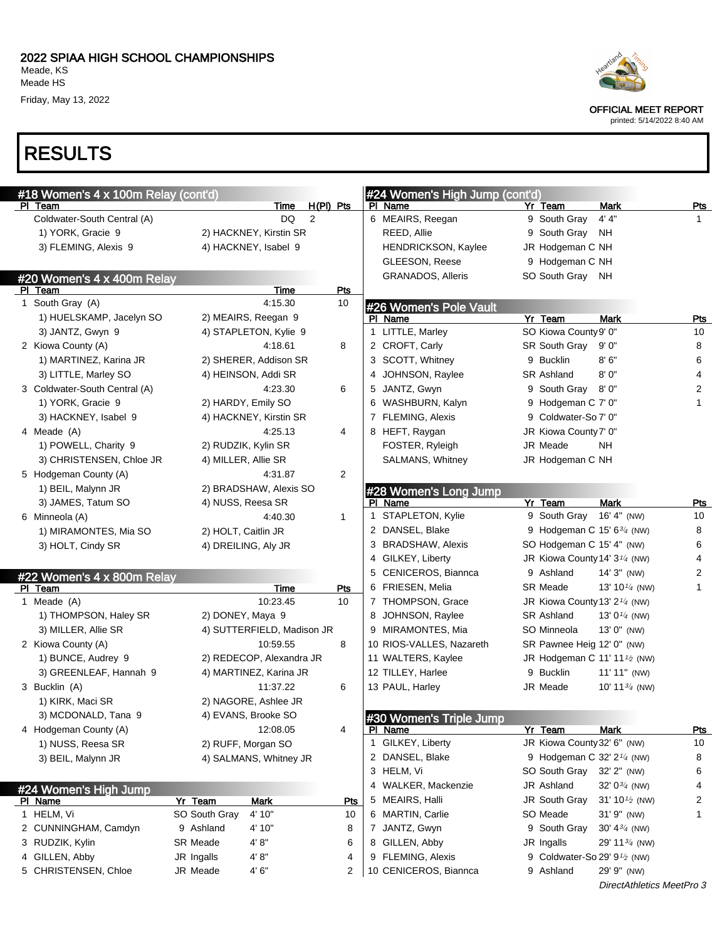OFFICIAL MEET REPORT

printed: 5/14/2022 8:40 AM

### RESULTS

| #18 Women's 4 x 100m Relay (cont'd)<br>PI Team |                      |                            | $H(PI)$ Pts  | #24 Women's High Jump (cont'd)<br>PI Name | Yr Team                                   | <b>Mark</b>                             | Pts            |
|------------------------------------------------|----------------------|----------------------------|--------------|-------------------------------------------|-------------------------------------------|-----------------------------------------|----------------|
| Coldwater-South Central (A)                    |                      | Time<br>2<br><b>DQ</b>     |              | 6 MEAIRS, Reegan                          | 9 South Gray                              | 4' 4''                                  | $\mathbf{1}$   |
| 1) YORK, Gracie 9                              |                      | 2) HACKNEY, Kirstin SR     |              | REED, Allie                               | 9 South Gray                              | ΝH                                      |                |
| 3) FLEMING, Alexis 9                           | 4) HACKNEY, Isabel 9 |                            |              | HENDRICKSON, Kaylee                       | JR Hodgeman C NH                          |                                         |                |
|                                                |                      |                            |              | GLEESON, Reese                            | 9 Hodgeman C NH                           |                                         |                |
| #20 Women's 4 x 400m Relay                     |                      |                            |              | <b>GRANADOS, Alleris</b>                  | SO South Gray                             | NH                                      |                |
| PI Team                                        |                      | <b>Time</b>                | Pts          |                                           |                                           |                                         |                |
| 1 South Gray (A)                               |                      | 4:15.30                    | 10           | #26 Women's Pole Vault                    |                                           |                                         |                |
| 1) HUELSKAMP, Jacelyn SO                       | 2) MEAIRS, Reegan 9  |                            |              | PI Name                                   | Yr Team                                   | <b>Mark</b>                             | Pts            |
| 3) JANTZ, Gwyn 9                               |                      | 4) STAPLETON, Kylie 9      |              | 1 LITTLE, Marley                          | SO Kiowa County 9' 0"                     |                                         | 10             |
| 2 Kiowa County (A)                             |                      | 4:18.61                    | 8            | 2 CROFT, Carly                            | SR South Gray                             | 9'0''                                   | 8              |
| 1) MARTINEZ, Karina JR                         |                      | 2) SHERER, Addison SR      |              | 3 SCOTT, Whitney                          | 9 Bucklin                                 | 8'6''                                   | 6              |
| 3) LITTLE, Marley SO                           | 4) HEINSON, Addi SR  |                            |              | 4 JOHNSON, Raylee                         | <b>SR Ashland</b>                         | 8'0"                                    | 4              |
| 3 Coldwater-South Central (A)                  |                      | 4:23.30                    | 6            | 5 JANTZ, Gwyn                             | 9 South Gray                              | 8'0''                                   | $\overline{2}$ |
| 1) YORK, Gracie 9                              | 2) HARDY, Emily SO   |                            |              | 6 WASHBURN, Kalyn                         | 9 Hodgeman C 7' 0"                        |                                         | $\mathbf{1}$   |
| 3) HACKNEY, Isabel 9                           |                      | 4) HACKNEY, Kirstin SR     |              | 7 FLEMING, Alexis                         | 9 Coldwater-So 7' 0"                      |                                         |                |
| 4 Meade (A)                                    |                      | 4:25.13                    | 4            | 8 HEFT, Raygan                            | JR Kiowa County 7' 0"                     |                                         |                |
| 1) POWELL, Charity 9                           | 2) RUDZIK, Kylin SR  |                            |              | FOSTER, Ryleigh                           | JR Meade                                  | NH.                                     |                |
| 3) CHRISTENSEN, Chloe JR                       | 4) MILLER, Allie SR  |                            |              | SALMANS, Whitney                          | JR Hodgeman C NH                          |                                         |                |
| 5 Hodgeman County (A)                          |                      | 4:31.87                    | 2            |                                           |                                           |                                         |                |
| 1) BEIL, Malynn JR                             |                      | 2) BRADSHAW, Alexis SO     |              | #28 Women's Long Jump                     |                                           |                                         |                |
| 3) JAMES, Tatum SO                             | 4) NUSS, Reesa SR    |                            |              | PI Name                                   | Yr Team                                   | <b>Mark</b>                             | Pts            |
| 6 Minneola (A)                                 |                      | 4:40.30                    | $\mathbf{1}$ | 1 STAPLETON, Kylie                        | 9 South Gray                              | 16' 4" (NW)                             | 10             |
| 1) MIRAMONTES, Mia SO                          | 2) HOLT, Caitlin JR  |                            |              | 2 DANSEL, Blake                           | 9 Hodgeman C 15' 63/4 (NW)                |                                         | 8              |
| 3) HOLT, Cindy SR                              | 4) DREILING, Aly JR  |                            |              | 3 BRADSHAW, Alexis                        | SO Hodgeman C 15' 4" (NW)                 |                                         | 6              |
|                                                |                      |                            |              | 4 GILKEY, Liberty                         | JR Kiowa County 14' 3 <sup>1/4</sup> (NW) |                                         | 4              |
| #22 Women's 4 x 800m Relay                     |                      |                            |              | 5 CENICEROS, Biannca                      | 9 Ashland                                 | $14'3''$ (NW)                           | 2              |
| PI Team                                        |                      | Time                       | Pts          | 6 FRIESEN, Melia                          | <b>SR Meade</b>                           | 13' 10 $\frac{1}{4}$ (NW)               | 1              |
| 1 Meade (A)                                    |                      | 10:23.45                   | 10           | 7 THOMPSON, Grace                         | JR Kiowa County 13' 2 <sup>1/4</sup> (NW) |                                         |                |
| 1) THOMPSON, Haley SR                          | 2) DONEY, Maya 9     |                            |              | 8 JOHNSON, Raylee                         | <b>SR Ashland</b>                         | 13' $0\frac{1}{4}$ (NW)                 |                |
| 3) MILLER, Allie SR                            |                      | 4) SUTTERFIELD, Madison JR |              | 9 MIRAMONTES, Mia                         | SO Minneola                               | 13' 0" (NW)                             |                |
| 2 Kiowa County (A)                             |                      | 10:59.55                   | 8            | 10 RIOS-VALLES, Nazareth                  | SR Pawnee Heig 12' 0" (NW)                |                                         |                |
| 1) BUNCE, Audrey 9                             |                      | 2) REDECOP, Alexandra JR   |              | 11 WALTERS, Kaylee                        | JR Hodgeman C 11' 11 <sup>1</sup> /2 (NW) |                                         |                |
| 3) GREENLEAF, Hannah 9                         |                      | 4) MARTINEZ, Karina JR     |              | 12 TILLEY, Harlee                         | 9 Bucklin                                 | $11' 11''$ (NW)                         |                |
| 3 Bucklin (A)                                  |                      | 11:37.22                   | 6            | 13 PAUL, Harley                           | JR Meade                                  | 10' 11 $\frac{3}{4}$ (NW)               |                |
| 1) KIRK, Maci SR                               | 2) NAGORE, Ashlee JR |                            |              |                                           |                                           |                                         |                |
| 3) MCDONALD, Tana 9                            | 4) EVANS, Brooke SO  |                            |              | #30 Women's Triple Jump                   |                                           |                                         |                |
| 4 Hodgeman County (A)                          |                      | 12:08.05                   | 4            | PI Name                                   | Yr Team                                   | Mark                                    | <b>Pts</b>     |
| 1) NUSS, Reesa SR                              | 2) RUFF, Morgan SO   |                            |              | 1 GILKEY, Liberty                         | JR Kiowa County 32' 6" (NW)               |                                         | 10             |
| 3) BEIL, Malynn JR                             |                      | 4) SALMANS, Whitney JR     |              | 2 DANSEL, Blake                           | 9 Hodgeman C 32' 2 <sup>1/4</sup> (NW)    |                                         | 8              |
|                                                |                      |                            |              | 3 HELM, Vi                                | SO South Gray                             | 32' 2" (NW)                             | 6              |
| #24 Women's High Jump                          |                      |                            |              | 4 WALKER, Mackenzie                       | JR Ashland                                | 32' $0\frac{3}{4}$ (NW)                 | 4              |
| PI Name                                        | Yr Team              | Mark                       | Pts          | 5 MEAIRS, Halli                           | JR South Gray                             | 31' 10 <sup><math>1/2</math></sup> (NW) | 2              |
| 1 HELM, Vi                                     | SO South Gray        | 4' 10"                     | 10           | 6 MARTIN, Carlie                          | SO Meade                                  | 31' 9" (NW)                             | 1              |
| 2 CUNNINGHAM, Camdyn                           | 9 Ashland            | 4' 10"                     | 8            | 7 JANTZ, Gwyn                             | 9 South Gray                              | 30' $4\frac{3}{4}$ (NW)                 |                |
| 3 RUDZIK, Kylin                                | SR Meade             | 4' 8"                      | 6            | 8 GILLEN, Abby                            | JR Ingalls                                | 29' 11 $\frac{3}{4}$ (NW)               |                |
| 4 GILLEN, Abby                                 | JR Ingalls           | 4' 8''                     | 4            | 9 FLEMING, Alexis                         | 9 Coldwater-So 29' 9 <sup>1</sup> /2 (NW) |                                         |                |
| 5 CHRISTENSEN, Chloe                           | JR Meade             | 4'6''                      | 2            | 10 CENICEROS, Biannca                     | 9 Ashland                                 | 29' 9" (NW)                             |                |
|                                                |                      |                            |              |                                           |                                           | DirectAthletics MeetPro 3               |                |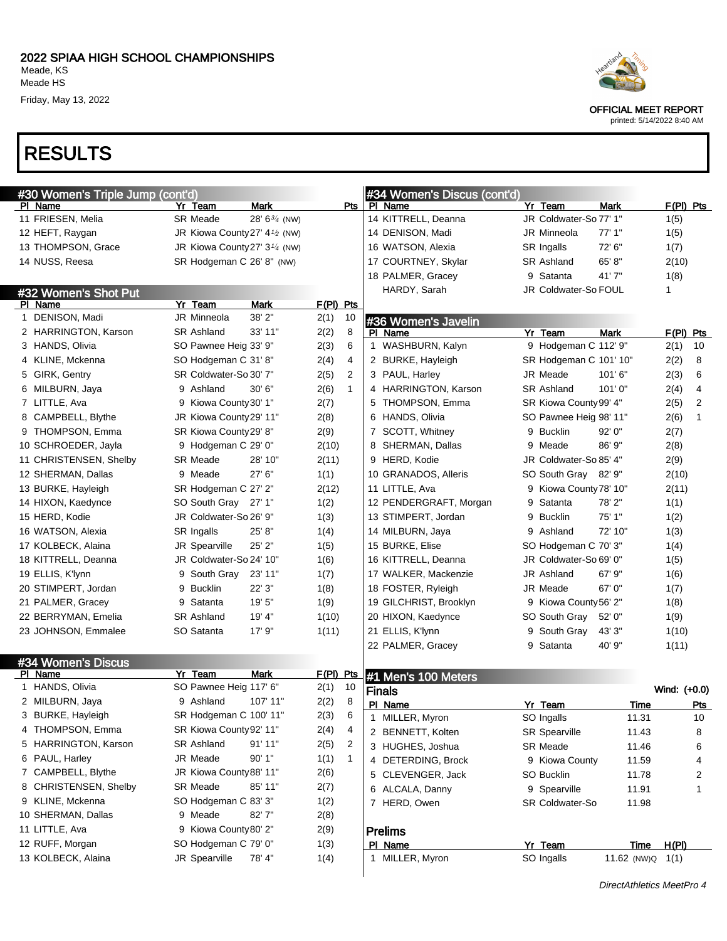

OFFICIAL MEET REPORT

printed: 5/14/2022 8:40 AM

## RESULTS

|                        | #30 Women's Triple Jump (cont'd) |                                                        |                    |             |              |               | #34 Women's Discus (cont'd) |   |                        |                    |       |              |                |
|------------------------|----------------------------------|--------------------------------------------------------|--------------------|-------------|--------------|---------------|-----------------------------|---|------------------------|--------------------|-------|--------------|----------------|
| PI Name                |                                  | Yr Team                                                | <b>Mark</b>        |             |              | Pts   PI Name |                             |   | Yr Team                | Mark               |       | $F(PI)$ Pts  |                |
| 11 FRIESEN, Melia      |                                  | <b>SR Meade</b>                                        | 28' $6^{3/4}$ (NW) |             |              |               | 14 KITTRELL, Deanna         |   | JR Coldwater-So 77' 1" |                    |       | 1(5)         |                |
| 12 HEFT, Raygan        |                                  | JR Kiowa County 27' 4 <sup>1</sup> / <sub>2</sub> (NW) |                    |             |              |               | 14 DENISON, Madi            |   | JR Minneola            | 77'1"              |       | 1(5)         |                |
| 13 THOMPSON, Grace     |                                  | JR Kiowa County 27' 3 <sup>1/4</sup> (NW)              |                    |             |              |               | 16 WATSON, Alexia           |   | SR Ingalls             | 72' 6"             |       | 1(7)         |                |
| 14 NUSS, Reesa         |                                  | SR Hodgeman C 26' 8" (NW)                              |                    |             |              |               | 17 COURTNEY, Skylar         |   | <b>SR Ashland</b>      | 65' 8"             |       | 2(10)        |                |
|                        |                                  |                                                        |                    |             |              |               | 18 PALMER, Gracey           |   | 9 Satanta              | 41'7"              |       | 1(8)         |                |
| #32 Women's Shot Put   |                                  |                                                        |                    |             |              |               | HARDY, Sarah                |   | JR Coldwater-So FOUL   |                    |       | 1            |                |
| PI Name                |                                  | Yr Team                                                | Mark               | $F(PI)$ Pts |              |               |                             |   |                        |                    |       |              |                |
| 1 DENISON, Madi        |                                  | <b>JR Minneola</b>                                     | 38' 2"             | 2(1)        | 10           |               | #36 Women's Javelin         |   |                        |                    |       |              |                |
| 2 HARRINGTON, Karson   |                                  | <b>SR Ashland</b>                                      | 33' 11"            | 2(2)        | 8            |               | PI Name                     |   | Yr Team                | <b>Mark</b>        |       | $F(PI)$ Pts  |                |
| 3 HANDS, Olivia        |                                  | SO Pawnee Heig 33' 9"                                  |                    | 2(3)        | 6            |               | 1 WASHBURN, Kalyn           |   | 9 Hodgeman C 112' 9"   |                    |       | 2(1)         | 10             |
| 4 KLINE, Mckenna       |                                  | SO Hodgeman C 31' 8"                                   |                    | 2(4)        | 4            |               | 2 BURKE, Hayleigh           |   | SR Hodgeman C 101' 10" |                    |       | 2(2)         | 8              |
| 5 GIRK, Gentry         |                                  | SR Coldwater-So 30' 7"                                 |                    | 2(5)        | 2            |               | 3 PAUL, Harley              |   | JR Meade               | 101'6''            |       | 2(3)         | 6              |
| 6 MILBURN, Jaya        |                                  | 9 Ashland                                              | 30' 6"             | 2(6)        | $\mathbf{1}$ |               | 4 HARRINGTON, Karson        |   | <b>SR Ashland</b>      | 101'0''            |       | 2(4)         | 4              |
| 7 LITTLE, Ava          |                                  | 9 Kiowa County 30' 1"                                  |                    | 2(7)        |              |               | 5 THOMPSON, Emma            |   | SR Kiowa County 99' 4" |                    |       | 2(5)         | $\overline{2}$ |
| 8 CAMPBELL, Blythe     |                                  | JR Kiowa County 29' 11"                                |                    | 2(8)        |              |               | 6 HANDS, Olivia             |   | SO Pawnee Heig 98' 11" |                    |       | 2(6)         | $\mathbf{1}$   |
| 9 THOMPSON, Emma       |                                  | SR Kiowa County 29' 8"                                 |                    | 2(9)        |              |               | 7 SCOTT, Whitney            |   | 9 Bucklin              | 92'0''             |       | 2(7)         |                |
| 10 SCHROEDER, Jayla    |                                  | 9 Hodgeman C 29' 0"                                    |                    | 2(10)       |              |               | 8 SHERMAN, Dallas           |   | 9 Meade                | 86' 9"             |       | 2(8)         |                |
| 11 CHRISTENSEN, Shelby |                                  | <b>SR Meade</b>                                        | 28' 10"            | 2(11)       |              |               | 9 HERD, Kodie               |   | JR Coldwater-So 85' 4" |                    |       | 2(9)         |                |
| 12 SHERMAN, Dallas     |                                  | 9 Meade                                                | 27'6''             | 1(1)        |              |               | 10 GRANADOS, Alleris        |   | SO South Gray 82' 9"   |                    |       | 2(10)        |                |
| 13 BURKE, Hayleigh     |                                  | SR Hodgeman C 27' 2"                                   |                    | 2(12)       |              |               | 11 LITTLE, Ava              |   | 9 Kiowa County 78' 10" |                    |       | 2(11)        |                |
| 14 HIXON, Kaedynce     |                                  | SO South Gray 27' 1"                                   |                    | 1(2)        |              |               | 12 PENDERGRAFT, Morgan      | 9 | Satanta                | 78'2"              |       | 1(1)         |                |
| 15 HERD, Kodie         |                                  | JR Coldwater-So 26' 9"                                 |                    | 1(3)        |              |               | 13 STIMPERT, Jordan         | 9 | Bucklin                | 75' 1"             |       | 1(2)         |                |
| 16 WATSON, Alexia      |                                  | SR Ingalls                                             | 25' 8"             | 1(4)        |              |               | 14 MILBURN, Jaya            |   | 9 Ashland              | 72' 10"            |       | 1(3)         |                |
| 17 KOLBECK, Alaina     |                                  | JR Spearville                                          | 25' 2"             | 1(5)        |              |               | 15 BURKE, Elise             |   | SO Hodgeman C 70' 3"   |                    |       | 1(4)         |                |
| 18 KITTRELL, Deanna    |                                  | JR Coldwater-So 24' 10"                                |                    | 1(6)        |              |               | 16 KITTRELL, Deanna         |   | JR Coldwater-So 69' 0" |                    |       | 1(5)         |                |
| 19 ELLIS, K'lynn       |                                  | 9 South Gray 23' 11"                                   |                    | 1(7)        |              |               | 17 WALKER, Mackenzie        |   | JR Ashland             | $67'$ $9''$        |       | 1(6)         |                |
| 20 STIMPERT, Jordan    |                                  | 9 Bucklin                                              | 22' 3"             | 1(8)        |              |               | 18 FOSTER, Ryleigh          |   | JR Meade               | 67' 0"             |       | 1(7)         |                |
| 21 PALMER, Gracey      |                                  | 9 Satanta                                              | 19'5''             | 1(9)        |              |               | 19 GILCHRIST, Brooklyn      |   | 9 Kiowa County 56' 2"  |                    |       | 1(8)         |                |
| 22 BERRYMAN, Emelia    |                                  | <b>SR Ashland</b>                                      | 19' 4"             | 1(10)       |              |               | 20 HIXON, Kaedynce          |   | SO South Gray          | 52' 0"             |       | 1(9)         |                |
| 23 JOHNSON, Emmalee    |                                  | SO Satanta                                             | 17'9''             | 1(11)       |              |               | 21 ELLIS, K'lynn            |   | 9 South Gray           | 43' 3"             |       | 1(10)        |                |
|                        |                                  |                                                        |                    |             |              |               | 22 PALMER, Gracey           |   | 9 Satanta              | 40' 9"             |       | 1(11)        |                |
| #34 Women's Discus     |                                  |                                                        |                    |             |              |               |                             |   |                        |                    |       |              |                |
| PI Name                |                                  | Yr Team                                                | Mark               | F(PI) Pts   |              |               | #1 Men's 100 Meters         |   |                        |                    |       |              |                |
| 1 HANDS, Olivia        |                                  | SO Pawnee Heig 117' 6"                                 |                    | 2(1)        | 10           | <b>Finals</b> |                             |   |                        |                    |       | Wind: (+0.0) |                |
| 2 MILBURN, Jaya        |                                  | 9 Ashland                                              | 107' 11"           | 2(2)        | 8            |               | PI Name                     |   | Yr Team                |                    | Time  |              | <u>Pts</u>     |
| 3 BURKE, Hayleigh      |                                  | SR Hodgeman C 100' 11"                                 |                    | 2(3)        | 6            | 1             | MILLER, Myron               |   | SO Ingalls             |                    | 11.31 |              | 10             |
| 4 THOMPSON, Emma       |                                  | SR Kiowa County 92' 11"                                |                    | 2(4)        | 4            |               | 2 BENNETT, Kolten           |   | <b>SR Spearville</b>   |                    | 11.43 |              | 8              |
| 5 HARRINGTON, Karson   |                                  | SR Ashland                                             | 91' 11"            | 2(5)        | 2            |               | 3 HUGHES, Joshua            |   | SR Meade               |                    | 11.46 |              | 6              |
| 6 PAUL, Harley         |                                  | JR Meade                                               | 90' 1"             | 1(1)        | $\mathbf{1}$ |               | 4 DETERDING, Brock          |   | 9 Kiowa County         |                    | 11.59 |              | 4              |
| 7 CAMPBELL, Blythe     |                                  | JR Kiowa County 88' 11"                                |                    | 2(6)        |              |               | 5 CLEVENGER, Jack           |   | SO Bucklin             |                    | 11.78 |              | 2              |
| 8 CHRISTENSEN, Shelby  |                                  | SR Meade                                               | 85' 11"            | 2(7)        |              |               | 6 ALCALA, Danny             |   | 9 Spearville           |                    | 11.91 |              | $\mathbf{1}$   |
| 9 KLINE, Mckenna       |                                  | SO Hodgeman C 83' 3"                                   |                    | 1(2)        |              |               | 7 HERD, Owen                |   | SR Coldwater-So        |                    | 11.98 |              |                |
| 10 SHERMAN, Dallas     |                                  | 9 Meade                                                | 82'7"              | 2(8)        |              |               |                             |   |                        |                    |       |              |                |
| 11 LITTLE, Ava         |                                  | 9 Kiowa County 80' 2"                                  |                    | 2(9)        |              |               | <b>Prelims</b>              |   |                        |                    |       |              |                |
| 12 RUFF, Morgan        |                                  | SO Hodgeman C 79' 0"                                   |                    | 1(3)        |              |               | PI Name                     |   | Yr Team                |                    | Time  | H(PI)        |                |
| 13 KOLBECK, Alaina     |                                  | JR Spearville                                          | 78' 4"             | 1(4)        |              |               | 1 MILLER, Myron             |   | SO Ingalls             | 11.62 (NW)Q $1(1)$ |       |              |                |
|                        |                                  |                                                        |                    |             |              |               |                             |   |                        |                    |       |              |                |

DirectAthletics MeetPro 4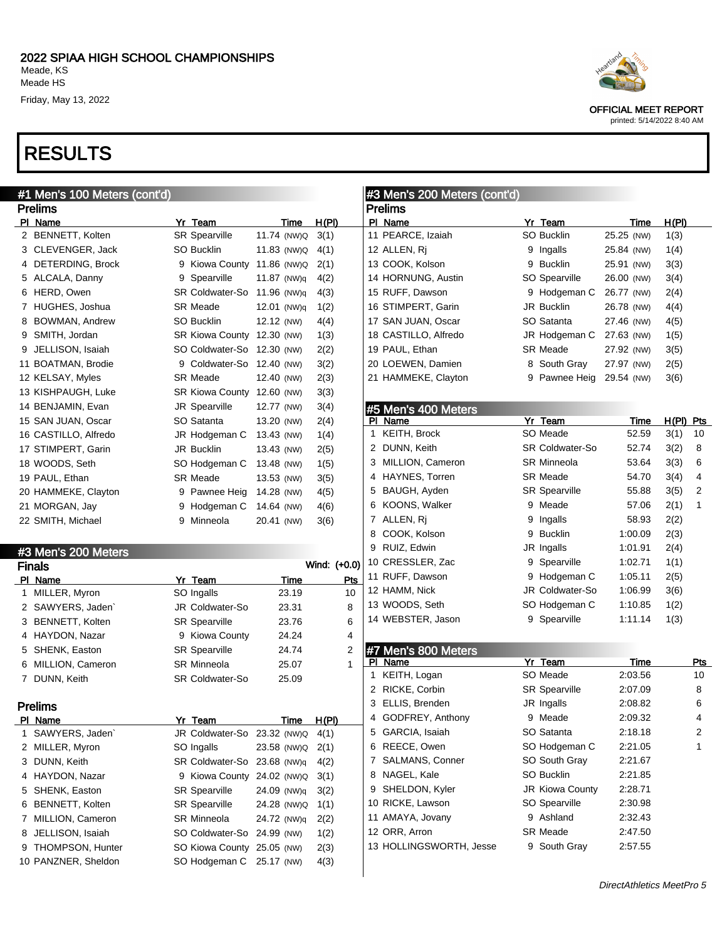PI Name Yr Team Time H(PI) 2 BENNETT, Kolten SR Spearville 11.74 (NW) Q 3(1) 3 CLEVENGER, Jack SO Bucklin 11.83 (NW)Q 4(1) DETERDING, Brock 9 Kiowa County 11.86 (NW)Q 2(1) 5 ALCALA, Danny 9 Spearville 11.87 (NW)q 4(2) 6 HERD, Owen SR Coldwater-So 11.96 (NW)q 4(3) 7 HUGHES, Joshua SR Meade 12.01 (NW)q 1(2) 8 BOWMAN, Andrew SO Bucklin 12.12 (NW) 4(4) 9 SMITH, Jordan SR Kiowa County 12.30 (NW) 1(3) JELLISON, Isaiah SO Coldwater-So 12.30 (NW) 2(2) BOATMAN, Brodie 9 Coldwater-So 12.40 (NW) 3(2) KELSAY, Myles SR Meade 12.40 (NW) 2(3) KISHPAUGH, Luke SR Kiowa County 12.60 (NW) 3(3) BENJAMIN, Evan JR Spearville 12.77 (NW) 3(4) SAN JUAN, Oscar SO Satanta 13.20 (NW) 2(4) CASTILLO, Alfredo JR Hodgeman C 13.43 (NW) 1(4) STIMPERT, Garin JR Bucklin 13.43 (NW) 2(5)

### RESULTS

Prelims

#1 Men's 100 Meters (cont'd)

| Heartland |  |
|-----------|--|
|           |  |

OFFICIAL MEET REPORT printed: 5/14/2022 8:40 AM

| cont'd) |                      |            |       |
|---------|----------------------|------------|-------|
|         |                      |            |       |
|         | Yr Team              | Time       | H(PI) |
|         | SO Bucklin           | 25.25 (NW) | 1(3)  |
| 9       | Ingalls              | 25.84 (NW) | 1(4)  |
| 9.      | <b>Bucklin</b>       | 25.91 (NW) | 3(3)  |
|         | <b>SO Spearville</b> | 26.00 (NW) | 3(4)  |
|         | 9 Hodgeman C         | 26.77 (NW) | 2(4)  |
|         | <b>JR Bucklin</b>    | 26.78 (NW) | 4(4)  |
|         | SO Satanta           | 27.46 (NW) | 4(5)  |
|         | JR Hodgeman C        | 27.63 (NW) | 1(5)  |
|         | <b>SR Meade</b>      | 27.92 (NW) | 3(5)  |
|         |                      |            |       |

#3 Men's 200 Meters (

11 PEARCE, Izaiah 12 ALLEN, Rj 13 COOK, Kolson 14 HORNUNG, Austin 15 RUFF, Dawson 16 STIMPERT, Garin 17 SAN JUAN, Oscar 18 CASTILLO, Alfredo 19 PAUL, Ethan

Prelims Pl Name

|    | #5 Men's 400 Meters |   |                        |         |       |     |
|----|---------------------|---|------------------------|---------|-------|-----|
| ΡI | Name                |   | Yr Team                | Time    | H(PI) | Pts |
| 1  | <b>KEITH, Brock</b> |   | SO Meade               | 52.59   | 3(1)  | 10  |
| 2  | DUNN, Keith         |   | <b>SR Coldwater-So</b> | 52.74   | 3(2)  | 8   |
| 3  | MILLION, Cameron    |   | <b>SR Minneola</b>     | 53.64   | 3(3)  | 6   |
| 4  | HAYNES, Torren      |   | <b>SR Meade</b>        | 54.70   | 3(4)  | 4   |
| 5  | BAUGH, Ayden        |   | <b>SR Spearville</b>   | 55.88   | 3(5)  | 2   |
| 6  | KOONS, Walker       | 9 | Meade                  | 57.06   | 2(1)  | 1   |
| 7  | ALLEN, Ri           | 9 | Ingalls                | 58.93   | 2(2)  |     |
| 8  | COOK, Kolson        | 9 | <b>Bucklin</b>         | 1:00.09 | 2(3)  |     |
| 9  | RUIZ, Edwin         |   | JR Ingalls             | 1:01.91 | 2(4)  |     |
|    | 10 CRESSLER, Zac    | 9 | Spearville             | 1:02.71 | 1(1)  |     |
|    | 11 RUFF, Dawson     | 9 | Hodgeman C             | 1:05.11 | 2(5)  |     |
|    | 12 HAMM, Nick       |   | JR Coldwater-So        | 1:06.99 | 3(6)  |     |
|    | 13 WOODS, Seth      |   | SO Hodgeman C          | 1:10.85 | 1(2)  |     |
|    | 14 WEBSTER, Jason   | 9 | Spearville             | 1:11.14 | 1(3)  |     |

 LOEWEN, Damien 8 South Gray 27.97 (NW) 2(5) HAMMEKE, Clayton 9 Pawnee Heig 29.54 (NW) 3(6)

|   | #7 Men's 800 Meters     |    |                        |         |     |
|---|-------------------------|----|------------------------|---------|-----|
|   | Name                    |    | Yr Team                | Time    | Pts |
| 1 | KEITH, Logan            |    | SO Meade               | 2:03.56 | 10  |
| 2 | RICKE, Corbin           |    | <b>SR Spearville</b>   | 2:07.09 | 8   |
| 3 | ELLIS, Brenden          |    | JR Ingalls             | 2:08.82 | 6   |
| 4 | GODFREY, Anthony        | 9  | Meade                  | 2:09.32 | 4   |
| 5 | GARCIA, Isaiah          |    | SO Satanta             | 2:18.18 | 2   |
| 6 | REECE, Owen             |    | SO Hodgeman C          | 2:21.05 | 1   |
| 7 | <b>SALMANS, Conner</b>  |    | SO South Gray          | 2:21.67 |     |
| 8 | NAGEL, Kale             |    | SO Bucklin             | 2:21.85 |     |
| 9 | SHELDON, Kyler          |    | <b>JR Kiowa County</b> | 2:28.71 |     |
|   | 10 RICKE, Lawson        |    | SO Spearville          | 2:30.98 |     |
|   | 11 AMAYA, Jovany        | 9. | Ashland                | 2:32.43 |     |
|   | 12 ORR, Arron           |    | <b>SR Meade</b>        | 2:47.50 |     |
|   | 13 HOLLINGSWORTH, Jesse | 9  | South Gray             | 2:57.55 |     |

|    | 18 WOODS, Seth      | SO Hodgeman C          | 13.48 (NW) | 1(5)         |
|----|---------------------|------------------------|------------|--------------|
|    | 19 PAUL, Ethan      | SR Meade               | 13.53 (NW) | 3(5)         |
|    | 20 HAMMEKE, Clayton | 9 Pawnee Heig          | 14.28 (NW) | 4(5)         |
|    | 21 MORGAN, Jay      | 9 Hodgeman C           | 14.64 (NW) | 4(6)         |
|    | 22 SMITH, Michael   | 9 Minneola             | 20.41 (NW) | 3(6)         |
|    |                     |                        |            |              |
|    | #3 Men's 200 Meters |                        |            |              |
|    | <b>Finals</b>       |                        |            | Wind: (+0.0) |
|    |                     |                        |            |              |
|    | PI Name             | Yr Team                | Time       | Pts          |
| 1. | MILLER, Myron       | SO Ingalls             | 23.19      | 10           |
|    | 2 SAWYERS, Jaden    | <b>JR Coldwater-So</b> | 23.31      | 8            |
|    | 3 BENNETT, Kolten   | <b>SR Spearville</b>   | 23.76      | 6            |
| 4  | HAYDON, Nazar       | 9 Kiowa County         | 24.24      | 4            |
|    | 5 SHENK, Easton     | <b>SR Spearville</b>   | 24.74      | 2            |
| 6  | MILLION, Cameron    | <b>SR Minneola</b>     | 25.07      | 1            |
| 7  | DUNN, Keith         | <b>SR Coldwater-So</b> | 25.09      |              |

| Prelims |
|---------|
|---------|

|   | Name                | Yr Team                     | Time        | H(PI) |  |  |
|---|---------------------|-----------------------------|-------------|-------|--|--|
|   | 1 SAWYERS, Jaden`   | JR Coldwater-So 23.32 (NW)Q |             | 4(1)  |  |  |
|   | 2 MILLER, Myron     | SO Ingalls                  | 23.58 (NW)Q | 2(1)  |  |  |
|   | 3 DUNN, Keith       | SR Coldwater-So 23.68 (NW)q |             | 4(2)  |  |  |
|   | 4 HAYDON, Nazar     | 9 Kiowa County 24.02 (NW)Q  |             | 3(1)  |  |  |
|   | 5 SHENK, Easton     | <b>SR Spearville</b>        | 24.09 (NW)g | 3(2)  |  |  |
| 6 | BENNETT, Kolten     | <b>SR Spearville</b>        | 24.28 (NW)Q | 1(1)  |  |  |
|   | 7 MILLION, Cameron  | SR Minneola                 | 24.72 (NW)g | 2(2)  |  |  |
|   | 8 JELLISON, Isaiah  | SO Coldwater-So 24.99 (NW)  |             | 1(2)  |  |  |
|   | 9 THOMPSON, Hunter  | SO Kiowa County 25.05 (NW)  |             | 2(3)  |  |  |
|   | 10 PANZNER, Sheldon | SO Hodgeman C 25.17 (NW)    |             | 4(3)  |  |  |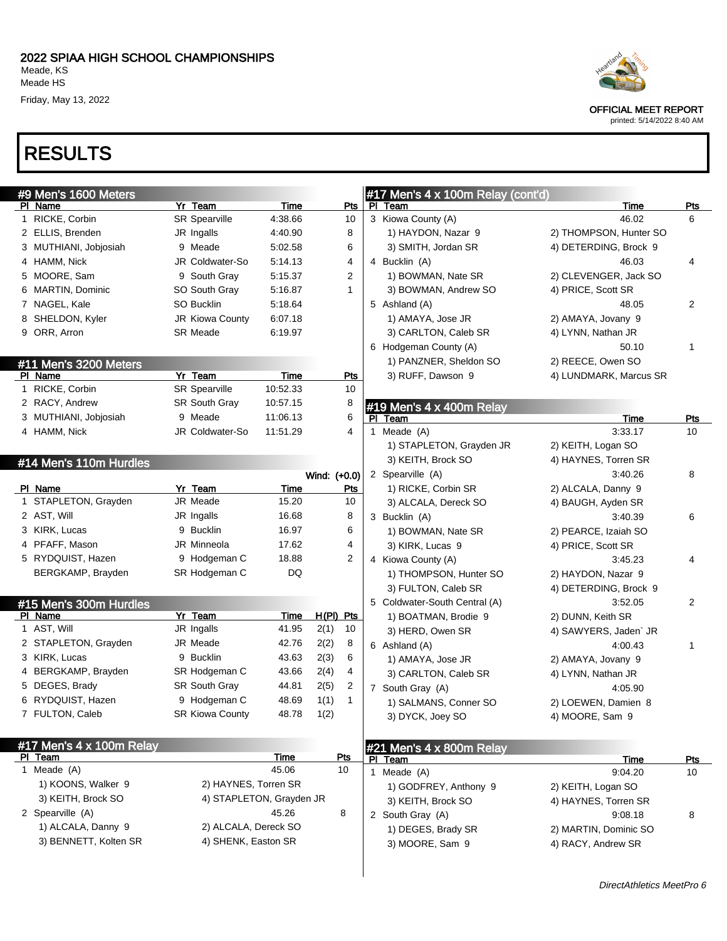| #9 Men's 1600 Meters     |                          |             |              |              | #17 Men's 4 x 100m Relay (cont'd)             |                        |                |
|--------------------------|--------------------------|-------------|--------------|--------------|-----------------------------------------------|------------------------|----------------|
| PI Name                  | Yr Team                  | Time        |              | <u>Pts</u>   | PI Team                                       | Time                   | Pts            |
| 1 RICKE, Corbin          | SR Spearville            | 4:38.66     |              | 10           | 3 Kiowa County (A)                            | 46.02                  | 6              |
| 2 ELLIS, Brenden         | JR Ingalls               | 4:40.90     |              | 8            | 1) HAYDON, Nazar 9                            | 2) THOMPSON, Hunter SO |                |
| 3 MUTHIANI, Jobjosiah    | 9 Meade                  | 5:02.58     |              | 6            | 3) SMITH, Jordan SR                           | 4) DETERDING, Brock 9  |                |
| 4 HAMM, Nick             | JR Coldwater-So          | 5:14.13     |              | 4            | 4 Bucklin (A)                                 | 46.03                  | 4              |
| 5 MOORE, Sam             | 9 South Gray             | 5:15.37     |              | 2            | 1) BOWMAN, Nate SR                            | 2) CLEVENGER, Jack SO  |                |
| 6 MARTIN, Dominic        | SO South Gray            | 5.16.87     |              | $\mathbf{1}$ | 3) BOWMAN, Andrew SO                          | 4) PRICE, Scott SR     |                |
| 7 NAGEL, Kale            | SO Bucklin               | 5:18.64     |              |              | 5 Ashland (A)                                 | 48.05                  | $\overline{c}$ |
| 8 SHELDON, Kyler         | JR Kiowa County          | 6:07.18     |              |              | 1) AMAYA, Jose JR                             | 2) AMAYA, Jovany 9     |                |
| 9 ORR, Arron             | <b>SR Meade</b>          | 6:19.97     |              |              | 3) CARLTON, Caleb SR                          | 4) LYNN, Nathan JR     |                |
|                          |                          |             |              |              | 6 Hodgeman County (A)                         | 50.10                  | 1              |
| #11 Men's 3200 Meters    |                          |             |              |              | 1) PANZNER, Sheldon SO                        | 2) REECE, Owen SO      |                |
| PI Name                  | Yr Team                  | Time        |              | <b>Pts</b>   | 3) RUFF, Dawson 9                             | 4) LUNDMARK, Marcus SR |                |
| 1 RICKE, Corbin          | <b>SR Spearville</b>     | 10:52.33    |              | 10           |                                               |                        |                |
| 2 RACY, Andrew           | SR South Gray            | 10:57.15    |              | 8            | #19 Men's 4 x 400m Relay                      |                        |                |
| 3 MUTHIANI, Jobjosiah    | 9 Meade                  | 11:06.13    |              | 6            | PI Team                                       | Time                   | <b>Pts</b>     |
| 4 HAMM, Nick             | JR Coldwater-So          | 11:51.29    |              | 4            | 1 Meade (A)                                   | 3:33.17                | 10             |
|                          |                          |             |              |              | 1) STAPLETON, Grayden JR                      | 2) KEITH, Logan SO     |                |
| #14 Men's 110m Hurdles   |                          |             |              |              | 3) KEITH, Brock SO                            | 4) HAYNES, Torren SR   |                |
|                          |                          |             | Wind: (+0.0) |              | 2 Spearville (A)                              | 3:40.26                | 8              |
| PI Name                  | Yr Team                  | Time        |              | Pts          | 1) RICKE, Corbin SR                           | 2) ALCALA, Danny 9     |                |
| 1 STAPLETON, Grayden     | JR Meade                 | 15.20       |              | 10           | 3) ALCALA, Dereck SO                          | 4) BAUGH, Ayden SR     |                |
| 2 AST, Will              | JR Ingalls               | 16.68       |              | 8            | 3 Bucklin (A)                                 | 3:40.39                | 6              |
| 3 KIRK, Lucas            | 9 Bucklin                | 16.97       |              | 6            | 1) BOWMAN, Nate SR                            | 2) PEARCE, Izaiah SO   |                |
| 4 PFAFF, Mason           | JR Minneola              | 17.62       |              | 4            | 3) KIRK, Lucas 9                              | 4) PRICE, Scott SR     |                |
| 5 RYDQUIST, Hazen        | 9 Hodgeman C             | 18.88       |              | 2            | 4 Kiowa County (A)                            | 3:45.23                | 4              |
| BERGKAMP, Brayden        | SR Hodgeman C            | DQ          |              |              | 1) THOMPSON, Hunter SO                        | 2) HAYDON, Nazar 9     |                |
|                          |                          |             |              |              | 3) FULTON, Caleb SR                           | 4) DETERDING, Brock 9  |                |
| #15 Men's 300m Hurdles   |                          |             |              |              | 5 Coldwater-South Central (A)                 | 3:52.05                | 2              |
| PI Name                  | Yr Team                  | <u>Time</u> | $H(PI)$ Pts  |              | 1) BOATMAN, Brodie 9                          | 2) DUNN, Keith SR      |                |
| 1 AST, Will              | JR Ingalls               | 41.95       | 2(1)         | 10           | 3) HERD, Owen SR                              | 4) SAWYERS, Jaden` JR  |                |
| 2 STAPLETON, Grayden     | JR Meade                 | 42.76       | 2(2)         | 8            | 6 Ashland (A)                                 | 4:00.43                | 1              |
| 3 KIRK, Lucas            | 9 Bucklin                | 43.63       | 2(3)         | 6            | 1) AMAYA, Jose JR                             | 2) AMAYA, Jovany 9     |                |
| 4 BERGKAMP, Brayden      | SR Hodgeman C            | 43.66       | 2(4)         | 4            | 3) CARLTON, Caleb SR                          | 4) LYNN, Nathan JR     |                |
| 5 DEGES, Brady           | SR South Gray            | 44.81       | 2(5)         | 2            | 7 South Gray (A)                              | 4:05.90                |                |
| 6 RYDQUIST, Hazen        | 9 Hodgeman C             | 48.69       | 1(1)         | $\mathbf{1}$ | 1) SALMANS, Conner SO                         | 2) LOEWEN, Damien 8    |                |
| 7 FULTON, Caleb          | <b>SR Kiowa County</b>   | 48.78       | 1(2)         |              | 3) DYCK, Joey SO                              | 4) MOORE, Sam 9        |                |
|                          |                          |             |              |              |                                               |                        |                |
| #17 Men's 4 x 100m Relay |                          |             |              |              |                                               |                        |                |
| PI Team                  |                          | <b>Time</b> | <b>Pts</b>   |              | $#21$ Men's $4 \times 800$ m Relay<br>PI Team | <b>Time</b>            | <u>Pts</u>     |
| 1 Meade (A)              |                          | 45.06       | 10           |              | 1 Meade (A)                                   | 9:04.20                | 10             |
| 1) KOONS, Walker 9       | 2) HAYNES, Torren SR     |             |              |              | 1) GODFREY, Anthony 9                         | 2) KEITH, Logan SO     |                |
| 3) KEITH, Brock SO       | 4) STAPLETON, Grayden JR |             |              |              | 3) KEITH, Brock SO                            | 4) HAYNES, Torren SR   |                |
| 2 Spearville (A)         |                          | 45.26       | 8            |              | 2 South Gray (A)                              | 9:08.18                | 8              |
| 1) ALCALA, Danny 9       | 2) ALCALA, Dereck SO     |             |              |              | 1) DEGES, Brady SR                            | 2) MARTIN, Dominic SO  |                |
| 3) BENNETT, Kolten SR    | 4) SHENK, Easton SR      |             |              |              | 3) MOORE, Sam 9                               | 4) RACY, Andrew SR     |                |
|                          |                          |             |              |              |                                               |                        |                |



OFFICIAL MEET REPORT

printed: 5/14/2022 8:40 AM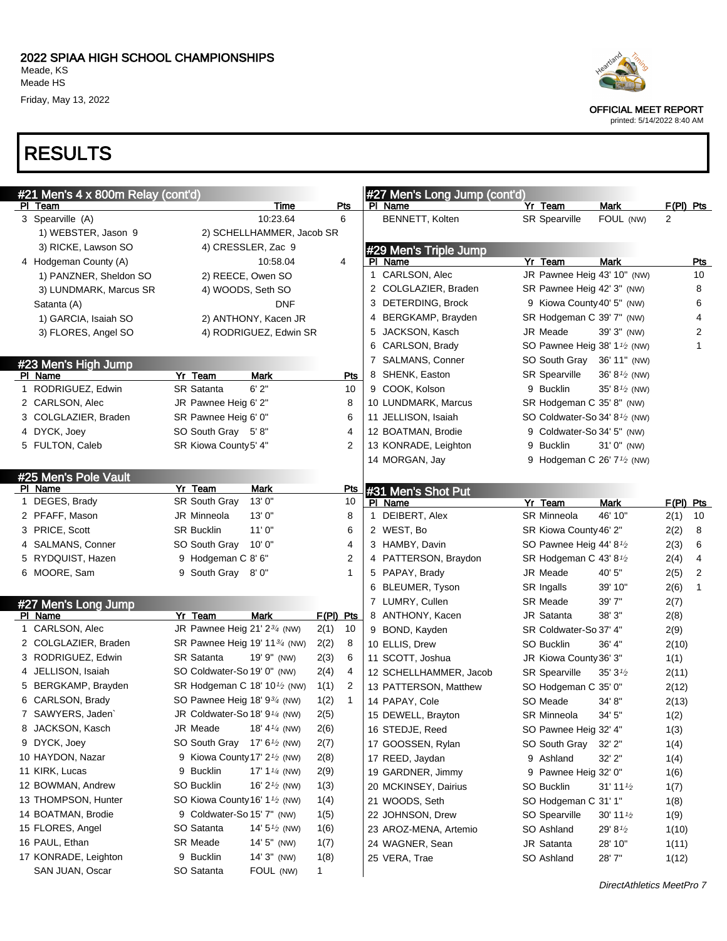OFFICIAL MEET REPORT

printed: 5/14/2022 8:40 AM

### RESULTS

| #21 Men's 4 x 800m Relay (cont'd) |                                                        |                      | #27 Men's Long Jump (cont'd) |                                                     |             |
|-----------------------------------|--------------------------------------------------------|----------------------|------------------------------|-----------------------------------------------------|-------------|
| PI Team                           | Time                                                   | <u>Pts</u>           | PI Name                      | Yr Team<br><b>Mark</b>                              | $F(PI)$ Pts |
| 3 Spearville (A)                  | 10:23.64                                               | 6                    | BENNETT, Kolten              | FOUL (NW)<br><b>SR Spearville</b>                   | 2           |
| 1) WEBSTER, Jason 9               | 2) SCHELLHAMMER, Jacob SR                              |                      |                              |                                                     |             |
| 3) RICKE, Lawson SO               | 4) CRESSLER, Zac 9                                     |                      | #29 Men's Triple Jump        |                                                     |             |
| 4 Hodgeman County (A)             | 10:58.04                                               | 4                    | PI Name                      | Yr Team<br><b>Mark</b>                              | <b>Pts</b>  |
| 1) PANZNER, Sheldon SO            | 2) REECE, Owen SO                                      |                      | 1 CARLSON, Alec              | JR Pawnee Heig 43' 10" (NW)                         | 10          |
| 3) LUNDMARK, Marcus SR            | 4) WOODS, Seth SO                                      |                      | 2 COLGLAZIER, Braden         | SR Pawnee Heig 42' 3" (NW)                          | 8           |
| Satanta (A)                       | <b>DNF</b>                                             |                      | 3 DETERDING, Brock           | 9 Kiowa County 40' 5" (NW)                          | 6           |
| 1) GARCIA, Isaiah SO              | 2) ANTHONY, Kacen JR                                   |                      | BERGKAMP, Brayden<br>4       | SR Hodgeman C 39' 7" (NW)                           | 4           |
| 3) FLORES, Angel SO               | 4) RODRIGUEZ, Edwin SR                                 |                      | 5 JACKSON, Kasch             | JR Meade<br>39' 3" (NW)                             | 2           |
|                                   |                                                        |                      | 6 CARLSON, Brady             | SO Pawnee Heig 38' 1 <sup>1</sup> /2 (NW)           | 1           |
| #23 Men's High Jump               |                                                        |                      | 7 SALMANS, Conner            | SO South Gray 36' 11" (NW)                          |             |
| PI Name                           | Yr Team<br><b>Mark</b>                                 | <b>Pts</b>           | 8 SHENK, Easton              | <b>SR Spearville</b><br>36' $8\frac{1}{2}$ (NW)     |             |
| 1 RODRIGUEZ, Edwin                | 6'2''<br><b>SR Satanta</b>                             | 10                   | 9 COOK, Kolson               | 9 Bucklin<br>35' $8\frac{1}{2}$ (NW)                |             |
| 2 CARLSON, Alec                   | JR Pawnee Heig 6' 2"                                   | 8                    | 10 LUNDMARK, Marcus          | SR Hodgeman C 35' 8" (NW)                           |             |
| 3 COLGLAZIER, Braden              | SR Pawnee Heig 6' 0"                                   | 6                    | 11 JELLISON, Isaiah          | SO Coldwater-So 34' 8 <sup>1/2</sup> (NW)           |             |
| 4 DYCK, Joey                      | SO South Gray 5'8"                                     | 4                    | 12 BOATMAN, Brodie           | 9 Coldwater-So 34' 5" (NW)                          |             |
| 5 FULTON, Caleb                   | SR Kiowa County5' 4"                                   | $\overline{2}$       | 13 KONRADE, Leighton         | 9 Bucklin<br>31' 0" (NW)                            |             |
|                                   |                                                        |                      | 14 MORGAN, Jay               | 9 Hodgeman C 26' 7 <sup>1</sup> / <sub>2</sub> (NW) |             |
| #25 Men's Pole Vault              |                                                        |                      |                              |                                                     |             |
| PI Name                           | Yr Team<br><b>Mark</b>                                 | Pts                  | #31 Men's Shot Put           |                                                     |             |
| 1 DEGES, Brady                    | 13'0"<br><b>SR South Gray</b>                          | 10                   | PI Name                      | Yr Team<br><b>Mark</b>                              | F(PI) Pts   |
| 2 PFAFF, Mason                    | JR Minneola<br>13'0''                                  | 8                    | DEIBERT, Alex<br>1           | <b>SR Minneola</b><br>46' 10"                       | 2(1)<br>10  |
| 3 PRICE, Scott                    | <b>SR Bucklin</b><br>11'0''                            | 6                    | 2 WEST, Bo                   | SR Kiowa County 46' 2"                              | 2(2)<br>8   |
| 4 SALMANS, Conner                 | SO South Gray<br>10'0''                                | 4                    | 3 HAMBY, Davin               | SO Pawnee Heig 44' 8 <sup>1/2</sup>                 | 2(3)<br>6   |
| 5 RYDQUIST, Hazen                 | 9 Hodgeman C 8' 6"                                     | 2                    | 4 PATTERSON, Braydon         | SR Hodgeman C 43' 8 <sup>1</sup> /2                 | 2(4)<br>4   |
| 6 MOORE, Sam                      | 9 South Gray 8'0"                                      | 1                    | 5 PAPAY, Brady               | JR Meade<br>40' 5"                                  | 2(5)<br>2   |
|                                   |                                                        |                      | BLEUMER, Tyson<br>6          | SR Ingalls<br>39' 10"                               | 2(6)<br>1   |
| #27 Men's Long Jump               |                                                        |                      | 7 LUMRY, Cullen              | <b>SR Meade</b><br>39' 7"                           | 2(7)        |
| PI Name                           | Yr Team<br>Mark                                        | F(PI) Pts            | 8 ANTHONY, Kacen             | JR Satanta<br>38'3''                                | 2(8)        |
| 1 CARLSON, Alec                   | JR Pawnee Heig 21' 23/4 (NW)                           | 2(1)<br>10           | 9 BOND, Kayden               | SR Coldwater-So 37' 4"                              | 2(9)        |
| 2 COLGLAZIER, Braden              | SR Pawnee Heig 19' 11 <sup>3/4</sup> (NW)              | 2(2)<br>8            | 10 ELLIS, Drew               | SO Bucklin<br>36' 4"                                | 2(10)       |
| 3 RODRIGUEZ, Edwin                | <b>SR Satanta</b><br>19' 9" (NW)                       | 2(3)<br>6            | 11 SCOTT, Joshua             | JR Kiowa County 36' 3"                              | 1(1)        |
| 4 JELLISON, Isaiah                | SO Coldwater-So 19' 0" (NW)                            | 2(4)<br>4            | 12 SCHELLHAMMER, Jacob       | <b>SR Spearville</b><br>$35'3\frac{1}{2}$           | 2(11)       |
| 5 BERGKAMP, Brayden               | SR Hodgeman C 18' 10 <sup>1</sup> / <sub>2</sub> (NW)  | 1(1)<br>2            | 13 PATTERSON, Matthew        | SO Hodgeman C 35' 0"                                | 2(12)       |
| 6 CARLSON, Brady                  | SO Pawnee Heig 18' 9 <sup>3</sup> / <sub>4</sub> (NW)  | 1(2)<br>$\mathbf{1}$ | 14 PAPAY, Cole               | 34' 8"<br>SO Meade                                  | 2(13)       |
| 7 SAWYERS, Jaden`                 | JR Coldwater-So 18' 9 <sup>1/4</sup> (NW)              | 2(5)                 | 15 DEWELL, Brayton           | SR Minneola<br>34' 5"                               | 1(2)        |
| 8 JACKSON, Kasch                  | JR Meade<br>18' 4 $\frac{1}{4}$ (NW)                   | 2(6)                 | 16 STEDJE, Reed              | SO Pawnee Heig 32' 4"                               | 1(3)        |
| 9 DYCK, Joey                      | SO South Gray 17' 6 <sup>1</sup> / <sub>2</sub> (NW)   | 2(7)                 | 17 GOOSSEN, Rylan            | SO South Gray<br>$32'$ $2"$                         | 1(4)        |
| 10 HAYDON, Nazar                  | 9 Kiowa County 17' 2 <sup>1</sup> / <sub>2</sub> (NW)  | 2(8)                 | 17 REED, Jaydan              | 32' 2"<br>9 Ashland                                 | 1(4)        |
| 11 KIRK, Lucas                    | 9 Bucklin<br>17' 1 $\frac{1}{4}$ (NW)                  | 2(9)                 | 19 GARDNER, Jimmy            | 9 Pawnee Heig 32' 0"                                | 1(6)        |
| 12 BOWMAN, Andrew                 | SO Bucklin<br>16' $2\frac{1}{2}$ (NW)                  | 1(3)                 | 20 MCKINSEY, Dairius         | SO Bucklin<br>31'11'2                               | 1(7)        |
| 13 THOMPSON, Hunter               | SO Kiowa County 16' 1 <sup>1</sup> / <sub>2</sub> (NW) | 1(4)                 | 21 WOODS, Seth               | SO Hodgeman C 31' 1"                                | 1(8)        |
| 14 BOATMAN, Brodie                | 9 Coldwater-So 15' 7" (NW)                             | 1(5)                 | 22 JOHNSON, Drew             | SO Spearville<br>30' 11 $\frac{1}{2}$               | 1(9)        |
| 15 FLORES, Angel                  | SO Satanta<br>14' $5\frac{1}{2}$ (NW)                  | 1(6)                 | 23 AROZ-MENA, Artemio        | SO Ashland<br>29' 8 <sup>1/2</sup>                  | 1(10)       |
| 16 PAUL, Ethan                    | SR Meade<br>$14'5''$ (NW)                              | 1(7)                 | 24 WAGNER, Sean              | JR Satanta<br>28' 10"                               | 1(11)       |
| 17 KONRADE, Leighton              | 9 Bucklin<br>$14'3''$ (NW)                             | 1(8)                 | 25 VERA, Trae                | SO Ashland<br>28'7"                                 | 1(12)       |
| SAN JUAN, Oscar                   | SO Satanta<br>FOUL (NW)                                | $\mathbf{1}$         |                              |                                                     |             |